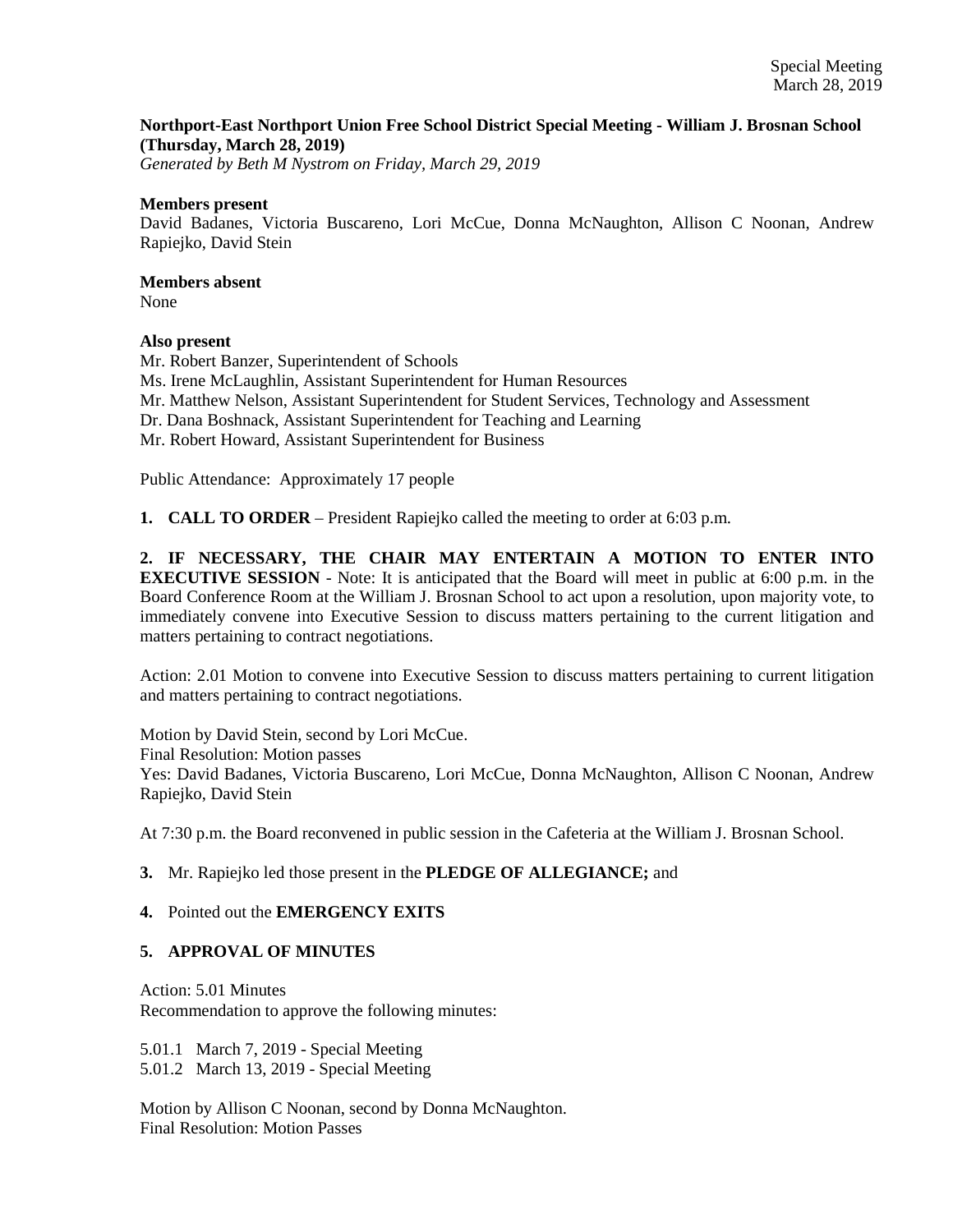## **Northport-East Northport Union Free School District Special Meeting - William J. Brosnan School (Thursday, March 28, 2019)**

*Generated by Beth M Nystrom on Friday, March 29, 2019*

#### **Members present**

David Badanes, Victoria Buscareno, Lori McCue, Donna McNaughton, Allison C Noonan, Andrew Rapiejko, David Stein

## **Members absent**

None

## **Also present**

Mr. Robert Banzer, Superintendent of Schools Ms. Irene McLaughlin, Assistant Superintendent for Human Resources Mr. Matthew Nelson, Assistant Superintendent for Student Services, Technology and Assessment Dr. Dana Boshnack, Assistant Superintendent for Teaching and Learning Mr. Robert Howard, Assistant Superintendent for Business

Public Attendance: Approximately 17 people

**1. CALL TO ORDER** – President Rapiejko called the meeting to order at 6:03 p.m.

**2. IF NECESSARY, THE CHAIR MAY ENTERTAIN A MOTION TO ENTER INTO EXECUTIVE SESSION** - Note: It is anticipated that the Board will meet in public at 6:00 p.m. in the Board Conference Room at the William J. Brosnan School to act upon a resolution, upon majority vote, to immediately convene into Executive Session to discuss matters pertaining to the current litigation and matters pertaining to contract negotiations.

Action: 2.01 Motion to convene into Executive Session to discuss matters pertaining to current litigation and matters pertaining to contract negotiations.

Motion by David Stein, second by Lori McCue. Final Resolution: Motion passes Yes: David Badanes, Victoria Buscareno, Lori McCue, Donna McNaughton, Allison C Noonan, Andrew Rapiejko, David Stein

At 7:30 p.m. the Board reconvened in public session in the Cafeteria at the William J. Brosnan School.

## **3.** Mr. Rapiejko led those present in the **PLEDGE OF ALLEGIANCE;** and

## **4.** Pointed out the **EMERGENCY EXITS**

## **5. APPROVAL OF MINUTES**

Action: 5.01 Minutes Recommendation to approve the following minutes:

5.01.1 March 7, 2019 - Special Meeting 5.01.2 March 13, 2019 - Special Meeting

Motion by Allison C Noonan, second by Donna McNaughton. Final Resolution: Motion Passes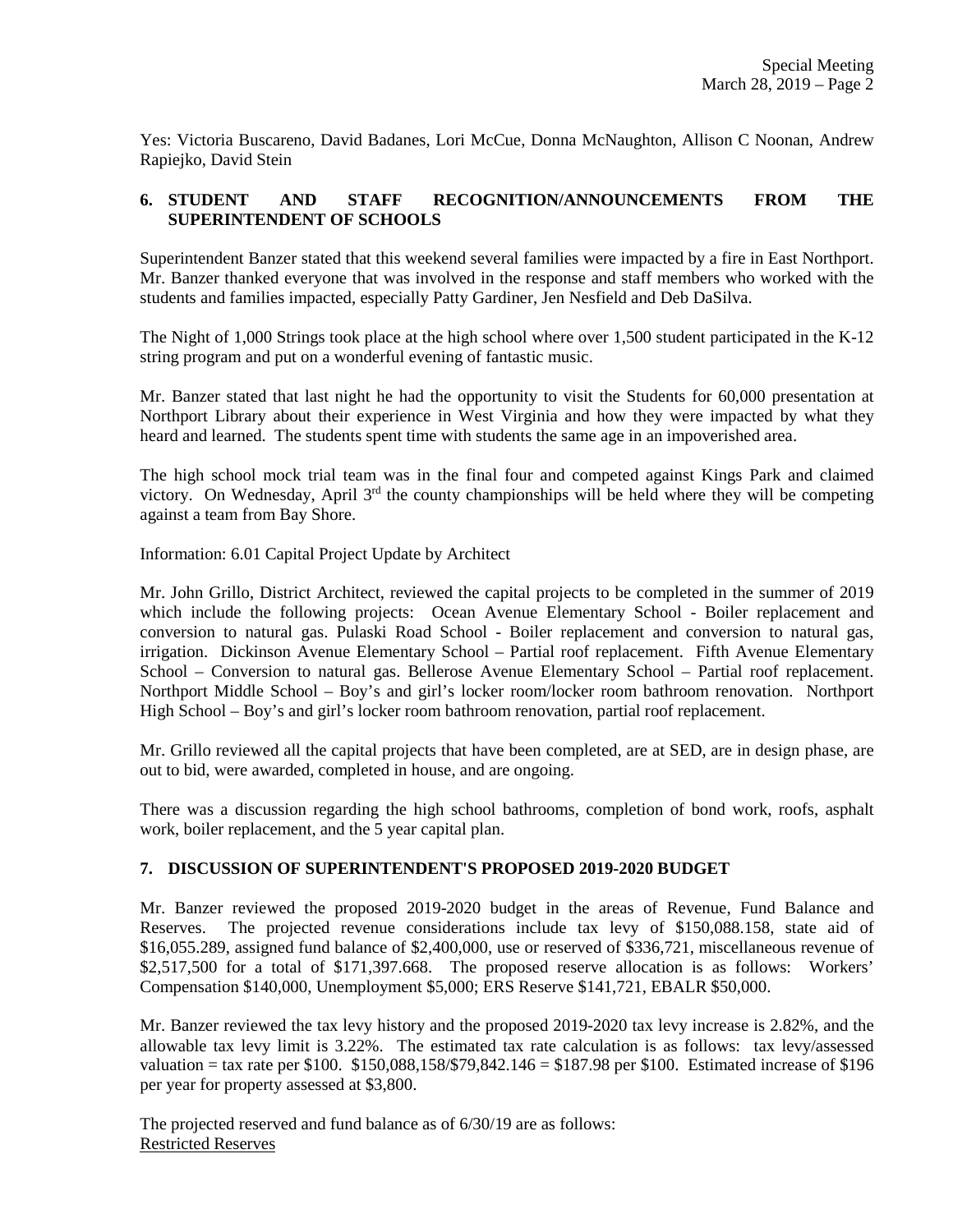Yes: Victoria Buscareno, David Badanes, Lori McCue, Donna McNaughton, Allison C Noonan, Andrew Rapiejko, David Stein

## **6. STUDENT AND STAFF RECOGNITION/ANNOUNCEMENTS FROM THE SUPERINTENDENT OF SCHOOLS**

Superintendent Banzer stated that this weekend several families were impacted by a fire in East Northport. Mr. Banzer thanked everyone that was involved in the response and staff members who worked with the students and families impacted, especially Patty Gardiner, Jen Nesfield and Deb DaSilva.

The Night of 1,000 Strings took place at the high school where over 1,500 student participated in the K-12 string program and put on a wonderful evening of fantastic music.

Mr. Banzer stated that last night he had the opportunity to visit the Students for 60,000 presentation at Northport Library about their experience in West Virginia and how they were impacted by what they heard and learned. The students spent time with students the same age in an impoverished area.

The high school mock trial team was in the final four and competed against Kings Park and claimed victory. On Wednesday, April  $3<sup>rd</sup>$  the county championships will be held where they will be competing against a team from Bay Shore.

Information: 6.01 Capital Project Update by Architect

Mr. John Grillo, District Architect, reviewed the capital projects to be completed in the summer of 2019 which include the following projects: Ocean Avenue Elementary School - Boiler replacement and conversion to natural gas. Pulaski Road School - Boiler replacement and conversion to natural gas, irrigation. Dickinson Avenue Elementary School – Partial roof replacement. Fifth Avenue Elementary School – Conversion to natural gas. Bellerose Avenue Elementary School – Partial roof replacement. Northport Middle School – Boy's and girl's locker room/locker room bathroom renovation. Northport High School – Boy's and girl's locker room bathroom renovation, partial roof replacement.

Mr. Grillo reviewed all the capital projects that have been completed, are at SED, are in design phase, are out to bid, were awarded, completed in house, and are ongoing.

There was a discussion regarding the high school bathrooms, completion of bond work, roofs, asphalt work, boiler replacement, and the 5 year capital plan.

## **7. DISCUSSION OF SUPERINTENDENT'S PROPOSED 2019-2020 BUDGET**

Mr. Banzer reviewed the proposed 2019-2020 budget in the areas of Revenue, Fund Balance and Reserves. The projected revenue considerations include tax levy of \$150,088.158, state aid of \$16,055.289, assigned fund balance of \$2,400,000, use or reserved of \$336,721, miscellaneous revenue of \$2,517,500 for a total of \$171,397.668. The proposed reserve allocation is as follows: Workers' Compensation \$140,000, Unemployment \$5,000; ERS Reserve \$141,721, EBALR \$50,000.

Mr. Banzer reviewed the tax levy history and the proposed 2019-2020 tax levy increase is 2.82%, and the allowable tax levy limit is 3.22%. The estimated tax rate calculation is as follows: tax levy/assessed valuation = tax rate per \$100. \$150,088,158/\$79,842.146 = \$187.98 per \$100. Estimated increase of \$196 per year for property assessed at \$3,800.

The projected reserved and fund balance as of 6/30/19 are as follows: Restricted Reserves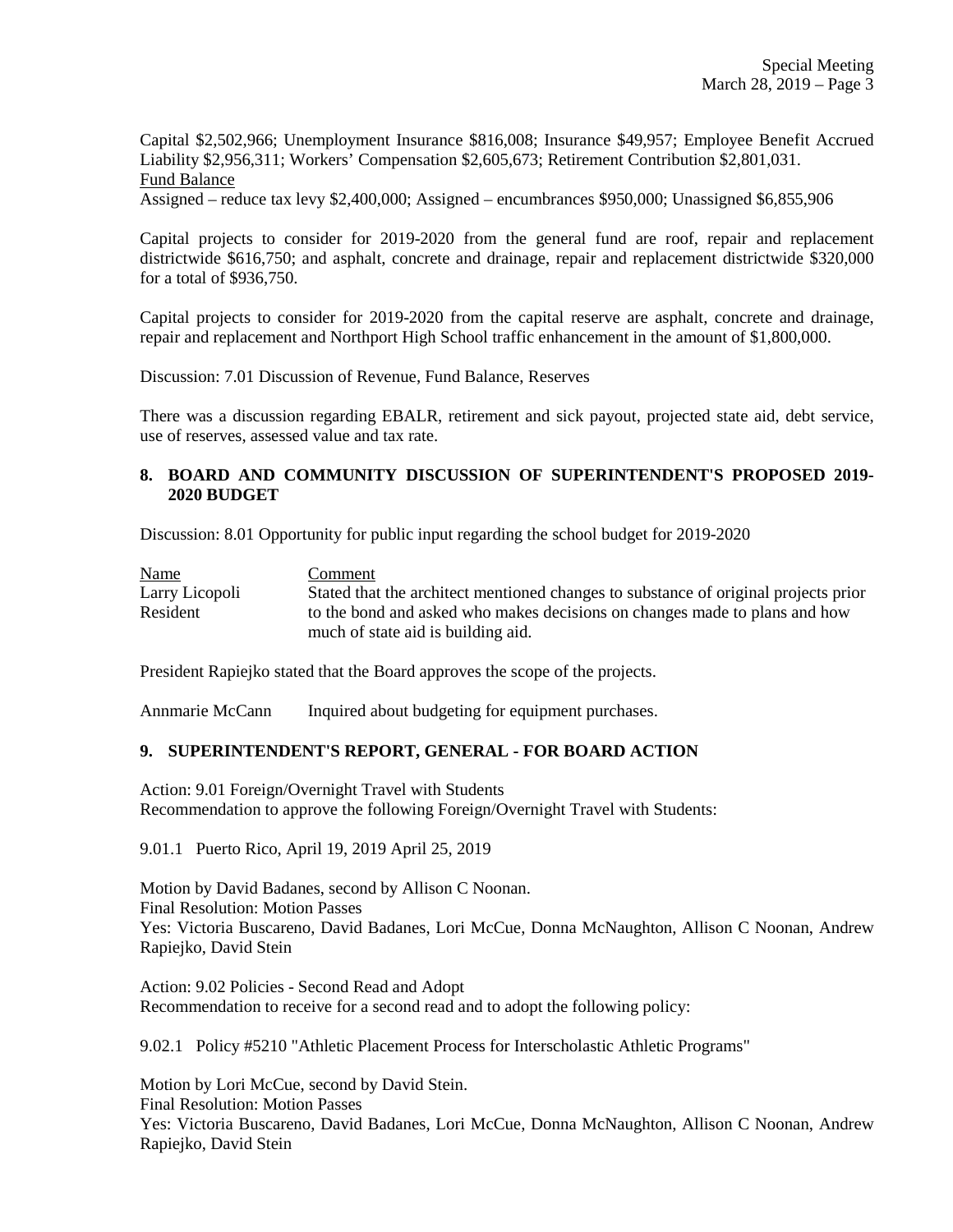Capital \$2,502,966; Unemployment Insurance \$816,008; Insurance \$49,957; Employee Benefit Accrued Liability \$2,956,311; Workers' Compensation \$2,605,673; Retirement Contribution \$2,801,031. Fund Balance

Assigned – reduce tax levy \$2,400,000; Assigned – encumbrances \$950,000; Unassigned \$6,855,906

Capital projects to consider for 2019-2020 from the general fund are roof, repair and replacement districtwide \$616,750; and asphalt, concrete and drainage, repair and replacement districtwide \$320,000 for a total of \$936,750.

Capital projects to consider for 2019-2020 from the capital reserve are asphalt, concrete and drainage, repair and replacement and Northport High School traffic enhancement in the amount of \$1,800,000.

Discussion: 7.01 Discussion of Revenue, Fund Balance, Reserves

There was a discussion regarding EBALR, retirement and sick payout, projected state aid, debt service, use of reserves, assessed value and tax rate.

## **8. BOARD AND COMMUNITY DISCUSSION OF SUPERINTENDENT'S PROPOSED 2019- 2020 BUDGET**

Discussion: 8.01 Opportunity for public input regarding the school budget for 2019-2020

| <b>Name</b>    | Comment                                                                             |
|----------------|-------------------------------------------------------------------------------------|
| Larry Licopoli | Stated that the architect mentioned changes to substance of original projects prior |
| Resident       | to the bond and asked who makes decisions on changes made to plans and how          |
|                | much of state aid is building aid.                                                  |

President Rapiejko stated that the Board approves the scope of the projects.

Annmarie McCann Inquired about budgeting for equipment purchases.

## **9. SUPERINTENDENT'S REPORT, GENERAL - FOR BOARD ACTION**

Action: 9.01 Foreign/Overnight Travel with Students Recommendation to approve the following Foreign/Overnight Travel with Students:

9.01.1 Puerto Rico, April 19, 2019 April 25, 2019

Motion by David Badanes, second by Allison C Noonan. Final Resolution: Motion Passes Yes: Victoria Buscareno, David Badanes, Lori McCue, Donna McNaughton, Allison C Noonan, Andrew Rapiejko, David Stein

Action: 9.02 Policies - Second Read and Adopt Recommendation to receive for a second read and to adopt the following policy:

9.02.1 Policy #5210 "Athletic Placement Process for Interscholastic Athletic Programs"

Motion by Lori McCue, second by David Stein. Final Resolution: Motion Passes Yes: Victoria Buscareno, David Badanes, Lori McCue, Donna McNaughton, Allison C Noonan, Andrew Rapiejko, David Stein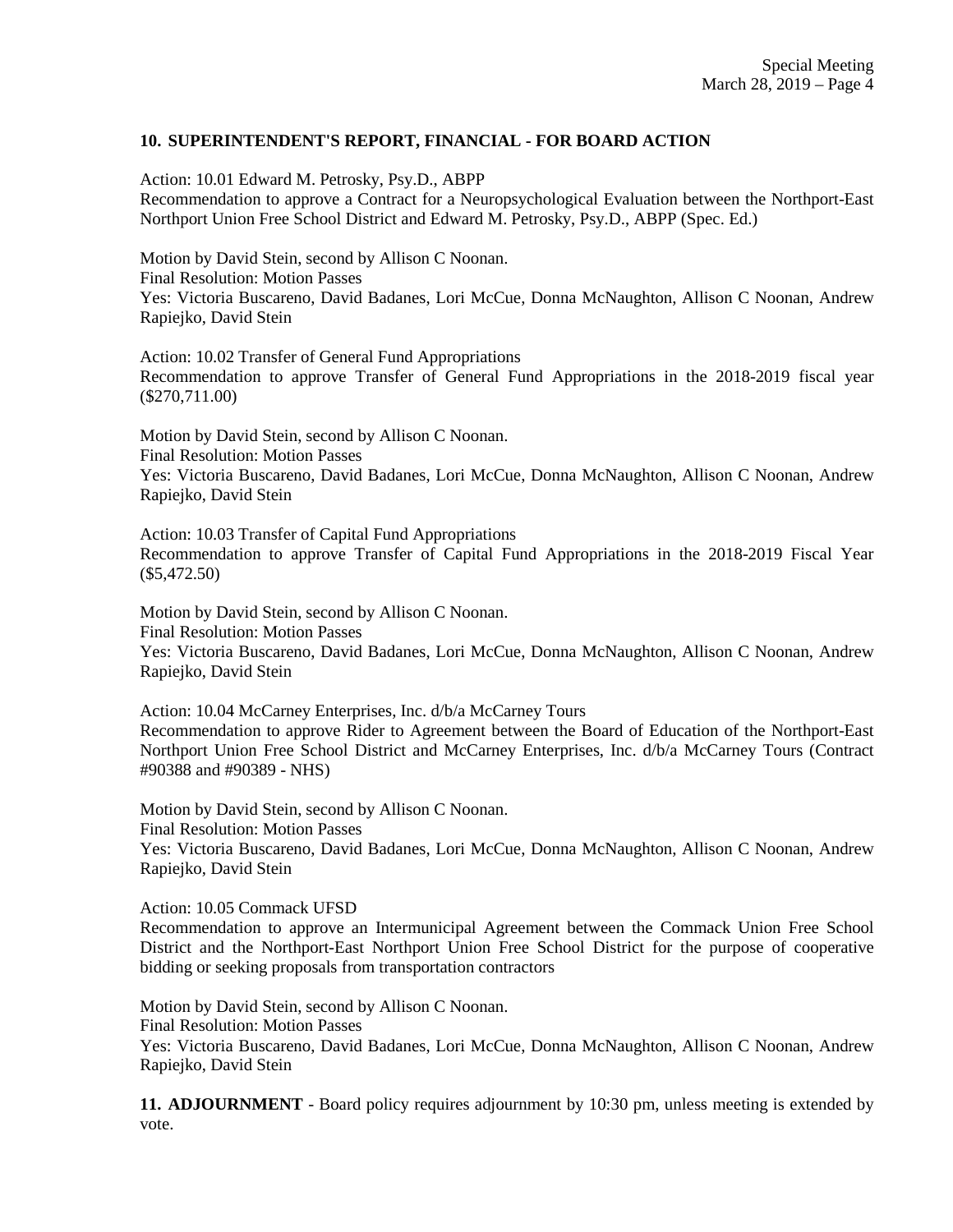## **10. SUPERINTENDENT'S REPORT, FINANCIAL - FOR BOARD ACTION**

Action: 10.01 Edward M. Petrosky, Psy.D., ABPP Recommendation to approve a Contract for a Neuropsychological Evaluation between the Northport-East Northport Union Free School District and Edward M. Petrosky, Psy.D., ABPP (Spec. Ed.)

Motion by David Stein, second by Allison C Noonan. Final Resolution: Motion Passes Yes: Victoria Buscareno, David Badanes, Lori McCue, Donna McNaughton, Allison C Noonan, Andrew Rapiejko, David Stein

Action: 10.02 Transfer of General Fund Appropriations Recommendation to approve Transfer of General Fund Appropriations in the 2018-2019 fiscal year (\$270,711.00)

Motion by David Stein, second by Allison C Noonan. Final Resolution: Motion Passes Yes: Victoria Buscareno, David Badanes, Lori McCue, Donna McNaughton, Allison C Noonan, Andrew Rapiejko, David Stein

Action: 10.03 Transfer of Capital Fund Appropriations Recommendation to approve Transfer of Capital Fund Appropriations in the 2018-2019 Fiscal Year (\$5,472.50)

Motion by David Stein, second by Allison C Noonan. Final Resolution: Motion Passes Yes: Victoria Buscareno, David Badanes, Lori McCue, Donna McNaughton, Allison C Noonan, Andrew Rapiejko, David Stein

Action: 10.04 McCarney Enterprises, Inc. d/b/a McCarney Tours Recommendation to approve Rider to Agreement between the Board of Education of the Northport-East Northport Union Free School District and McCarney Enterprises, Inc. d/b/a McCarney Tours (Contract #90388 and #90389 - NHS)

Motion by David Stein, second by Allison C Noonan. Final Resolution: Motion Passes Yes: Victoria Buscareno, David Badanes, Lori McCue, Donna McNaughton, Allison C Noonan, Andrew Rapiejko, David Stein

Action: 10.05 Commack UFSD

Recommendation to approve an Intermunicipal Agreement between the Commack Union Free School District and the Northport-East Northport Union Free School District for the purpose of cooperative bidding or seeking proposals from transportation contractors

Motion by David Stein, second by Allison C Noonan. Final Resolution: Motion Passes Yes: Victoria Buscareno, David Badanes, Lori McCue, Donna McNaughton, Allison C Noonan, Andrew Rapiejko, David Stein

**11. ADJOURNMENT** - Board policy requires adjournment by 10:30 pm, unless meeting is extended by vote.